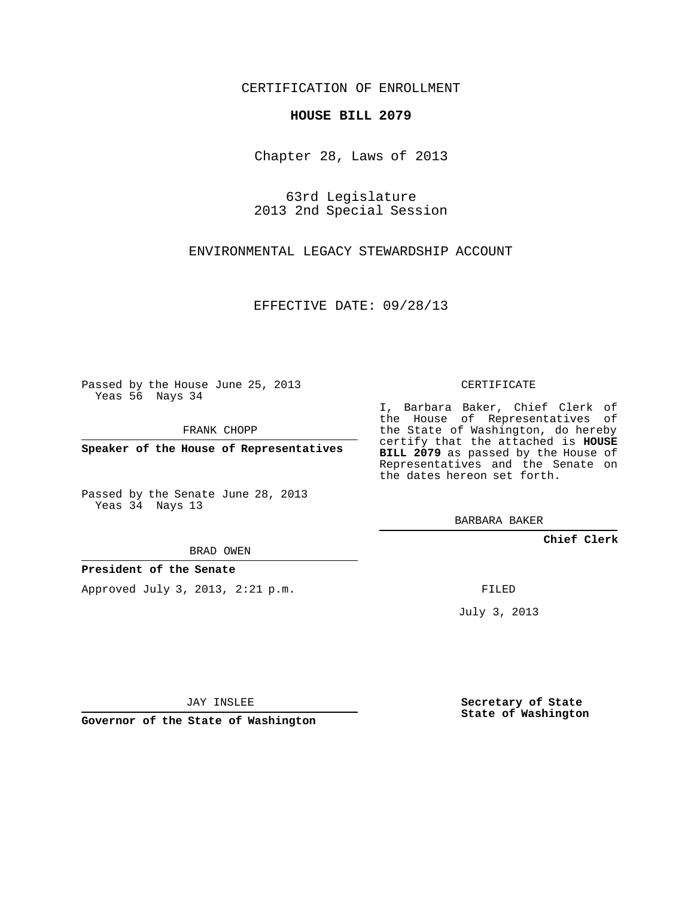## CERTIFICATION OF ENROLLMENT

## **HOUSE BILL 2079**

Chapter 28, Laws of 2013

63rd Legislature 2013 2nd Special Session

ENVIRONMENTAL LEGACY STEWARDSHIP ACCOUNT

EFFECTIVE DATE: 09/28/13

Passed by the House June 25, 2013 Yeas 56 Nays 34

FRANK CHOPP

**Speaker of the House of Representatives**

Passed by the Senate June 28, 2013 Yeas 34 Nays 13

BRAD OWEN

**President of the Senate**

Approved July 3, 2013, 2:21 p.m.

CERTIFICATE

I, Barbara Baker, Chief Clerk of the House of Representatives of the State of Washington, do hereby certify that the attached is **HOUSE BILL 2079** as passed by the House of Representatives and the Senate on the dates hereon set forth.

BARBARA BAKER

**Chief Clerk**

FILED

July 3, 2013

**Secretary of State State of Washington**

JAY INSLEE

**Governor of the State of Washington**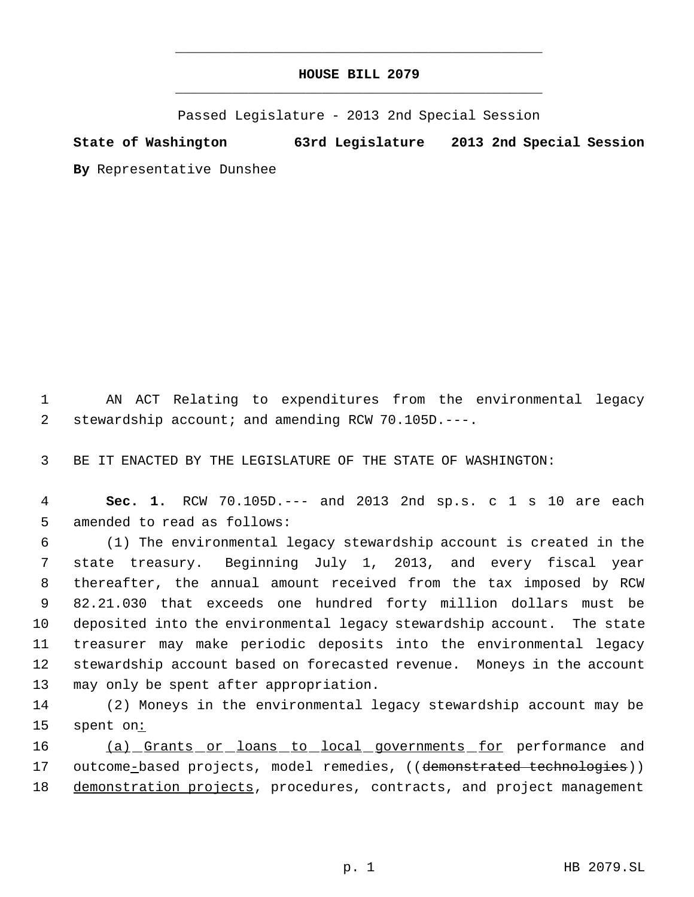## **HOUSE BILL 2079** \_\_\_\_\_\_\_\_\_\_\_\_\_\_\_\_\_\_\_\_\_\_\_\_\_\_\_\_\_\_\_\_\_\_\_\_\_\_\_\_\_\_\_\_\_

\_\_\_\_\_\_\_\_\_\_\_\_\_\_\_\_\_\_\_\_\_\_\_\_\_\_\_\_\_\_\_\_\_\_\_\_\_\_\_\_\_\_\_\_\_

Passed Legislature - 2013 2nd Special Session

**State of Washington 63rd Legislature 2013 2nd Special Session By** Representative Dunshee

 1 AN ACT Relating to expenditures from the environmental legacy 2 stewardship account; and amending RCW 70.105D.---.

3 BE IT ENACTED BY THE LEGISLATURE OF THE STATE OF WASHINGTON:

 4 **Sec. 1.** RCW 70.105D.--- and 2013 2nd sp.s. c 1 s 10 are each 5 amended to read as follows:

 (1) The environmental legacy stewardship account is created in the state treasury. Beginning July 1, 2013, and every fiscal year thereafter, the annual amount received from the tax imposed by RCW 82.21.030 that exceeds one hundred forty million dollars must be deposited into the environmental legacy stewardship account. The state treasurer may make periodic deposits into the environmental legacy stewardship account based on forecasted revenue. Moneys in the account may only be spent after appropriation.

14 (2) Moneys in the environmental legacy stewardship account may be 15 spent on:

16 (a) Grants or loans to local governments for performance and 17 outcome-based projects, model remedies, ((demonstrated technologies)) 18 demonstration projects, procedures, contracts, and project management